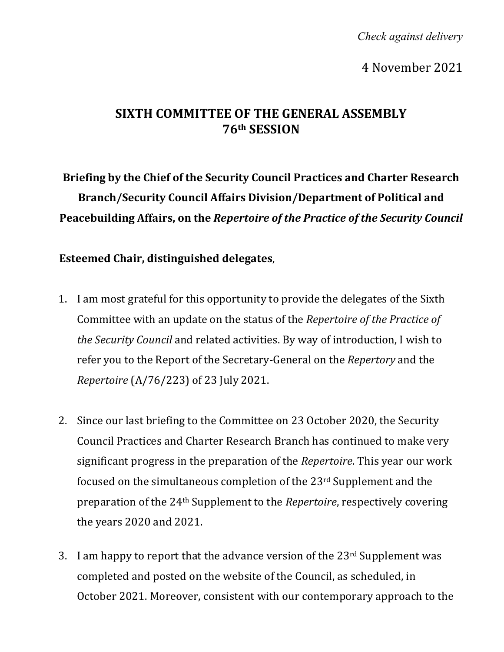*Check against delivery*

4 November 2021

## **SIXTH COMMITTEE OF THE GENERAL ASSEMBLY 76th SESSION**

**Briefing by the Chief of the Security Council Practices and Charter Research Branch/Security Council Affairs Division/Department of Political and Peacebuilding Affairs, on the** *Repertoire of the Practice of the Security Council*

**Esteemed Chair, distinguished delegates**,

- 1. I am most grateful for this opportunity to provide the delegates of the Sixth Committee with an update on the status of the *Repertoire of the Practice of the Security Council* and related activities. By way of introduction, I wish to refer you to the Report of the Secretary-General on the *Repertory* and the *Repertoire* (A/76/223) of 23 July 2021.
- 2. Since our last briefing to the Committee on 23 October 2020, the Security Council Practices and Charter Research Branch has continued to make very significant progress in the preparation of the *Repertoire*. This year our work focused on the simultaneous completion of the 23rd Supplement and the preparation of the 24th Supplement to the *Repertoire*, respectively covering the years 2020 and 2021.
- 3. I am happy to report that the advance version of the  $23<sup>rd</sup>$  Supplement was completed and posted on the website of the Council, as scheduled, in October 2021. Moreover, consistent with our contemporary approach to the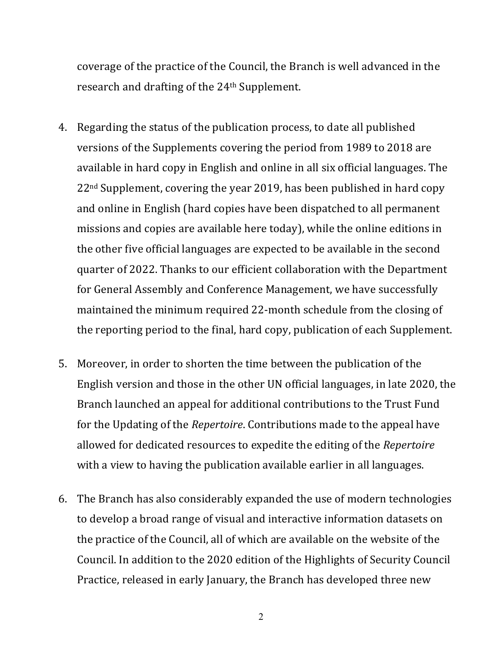coverage of the practice of the Council, the Branch is well advanced in the research and drafting of the 24th Supplement.

- 4. Regarding the status of the publication process, to date all published versions of the Supplements covering the period from 1989 to 2018 are available in hard copy in English and online in all six official languages. The 22nd Supplement, covering the year 2019, has been published in hard copy and online in English (hard copies have been dispatched to all permanent missions and copies are available here today), while the online editions in the other five official languages are expected to be available in the second quarter of 2022. Thanks to our efficient collaboration with the Department for General Assembly and Conference Management, we have successfully maintained the minimum required 22-month schedule from the closing of the reporting period to the final, hard copy, publication of each Supplement.
- 5. Moreover, in order to shorten the time between the publication of the English version and those in the other UN official languages, in late 2020, the Branch launched an appeal for additional contributions to the Trust Fund for the Updating of the *Repertoire*. Contributions made to the appeal have allowed for dedicated resources to expedite the editing of the *Repertoire* with a view to having the publication available earlier in all languages.
- 6. The Branch has also considerably expanded the use of modern technologies to develop a broad range of visual and interactive information datasets on the practice of the Council, all of which are available on the website of the Council. In addition to the 2020 edition of the Highlights of Security Council Practice, released in early January, the Branch has developed three new

2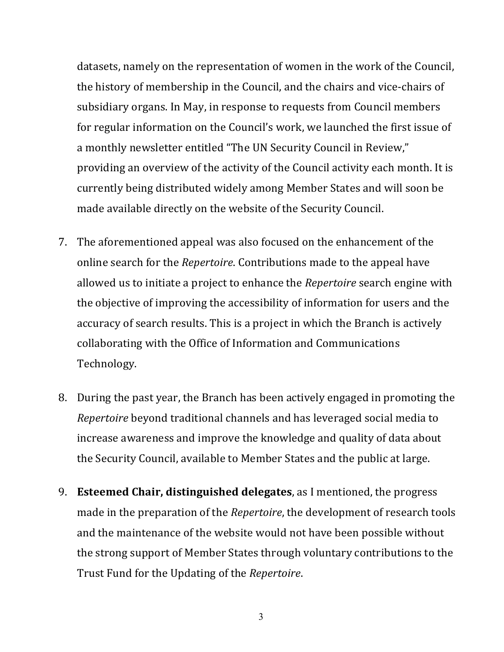datasets, namely on the representation of women in the work of the Council, the history of membership in the Council, and the chairs and vice-chairs of subsidiary organs. In May, in response to requests from Council members for regular information on the Council's work, we launched the first issue of a monthly newsletter entitled "The UN Security Council in Review," providing an overview of the activity of the Council activity each month. It is currently being distributed widely among Member States and will soon be made available directly on the website of the Security Council.

- 7. The aforementioned appeal was also focused on the enhancement of the online search for the *Repertoire*. Contributions made to the appeal have allowed us to initiate a project to enhance the *Repertoire* search engine with the objective of improving the accessibility of information for users and the accuracy of search results. This is a project in which the Branch is actively collaborating with the Office of Information and Communications Technology.
- 8. During the past year, the Branch has been actively engaged in promoting the *Repertoire* beyond traditional channels and has leveraged social media to increase awareness and improve the knowledge and quality of data about the Security Council, available to Member States and the public at large.
- 9. **Esteemed Chair, distinguished delegates**, as I mentioned, the progress made in the preparation of the *Repertoire*, the development of research tools and the maintenance of the website would not have been possible without the strong support of Member States through voluntary contributions to the Trust Fund for the Updating of the *Repertoire*.

3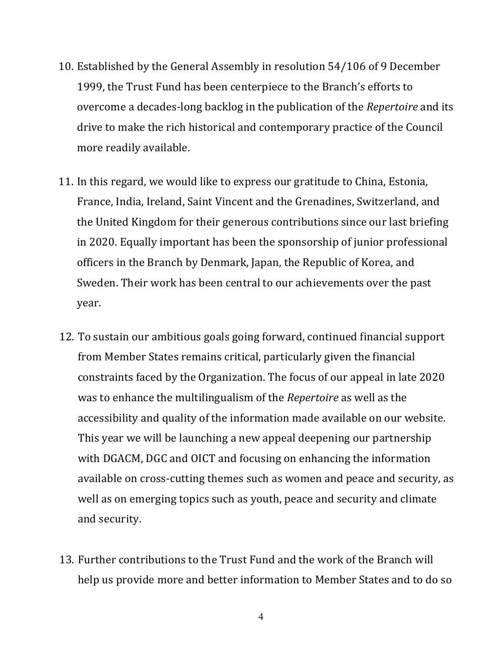- 10. Established by the General Assembly in resolution 54/106 of 9 December 1999, the Trust Fund has been centerpiece to the Branch's efforts to overcome a decades-long backlog in the publication of the *Repertoire* and its drive to make the rich historical and contemporary practice of the Council more readily available.
- 11. In this regard, we would like to express our gratitude to China, Estonia, France, India, Ireland, Saint Vincent and the Grenadines, Switzerland, and the United Kingdom for their generous contributions since our last briefing in 2020. Equally important has been the sponsorship of junior professional officers in the Branch by Denmark, Japan, the Republic of Korea, and Sweden. Their work has been central to our achievements over the past year.
- 12. To sustain our ambitious goals going forward, continued financial support from Member States remains critical, particularly given the financial constraints faced by the Organization. The focus of our appeal in late 2020 was to enhance the multilingualism of the *Repertoire* as well as the accessibility and quality of the information made available on our website. This year we will be launching a new appeal deepening our partnership with DGACM, DGC and OICT and focusing on enhancing the information available on cross-cutting themes such as women and peace and security, as well as on emerging topics such as youth, peace and security and climate and security.
- 13. Further contributions to the Trust Fund and the work of the Branch will help us provide more and better information to Member States and to do so

4